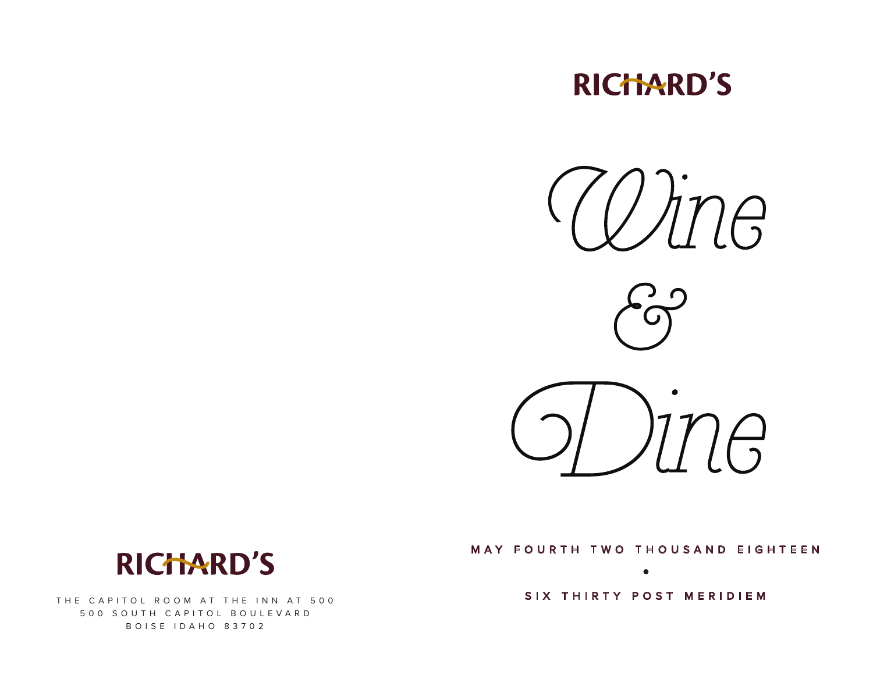# **RICHARD'S**



### MAY FOURTH TWO THOUSAND EIGHTEEN

THE CAPITOL ROOM AT THE INN AT 500 SIX THIRTY POST MERIDIEM

 $\bullet$ 



500 SOUTH CAPITOL BOULEVARD BOISE IDAHO 83702